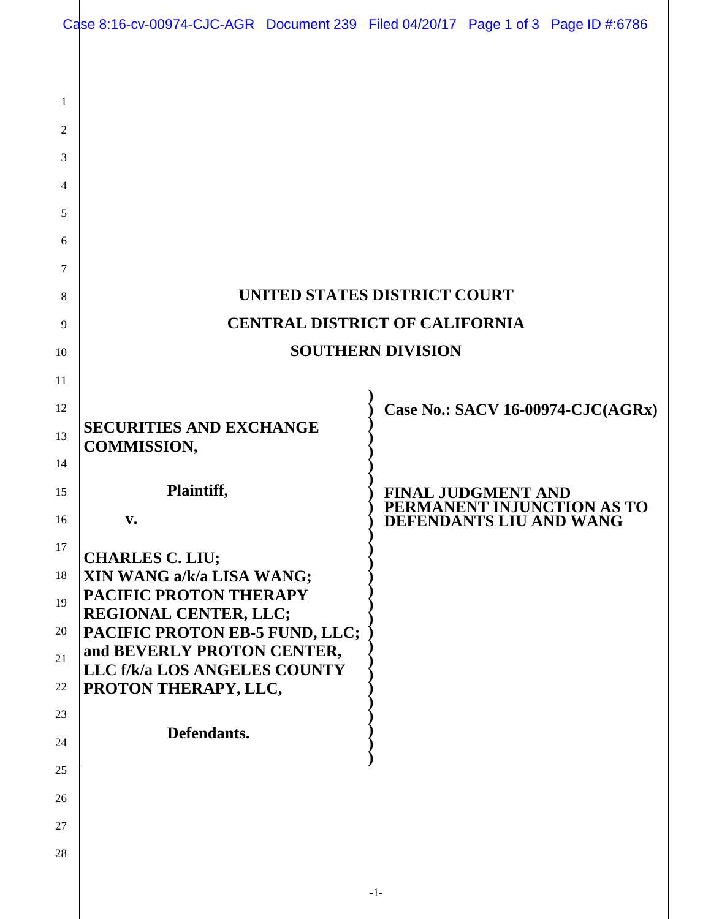|          | Case 8:16-cv-00974-CJC-AGR Document 239 Filed 04/20/17 Page 1 of 3 Page ID #:6786 |  |       |                           |                                                       |
|----------|-----------------------------------------------------------------------------------|--|-------|---------------------------|-------------------------------------------------------|
|          |                                                                                   |  |       |                           |                                                       |
| 1        |                                                                                   |  |       |                           |                                                       |
| 2        |                                                                                   |  |       |                           |                                                       |
| 3        |                                                                                   |  |       |                           |                                                       |
| 4        |                                                                                   |  |       |                           |                                                       |
| 5        |                                                                                   |  |       |                           |                                                       |
| 6        |                                                                                   |  |       |                           |                                                       |
| 7        |                                                                                   |  |       |                           |                                                       |
| 8        | UNITED STATES DISTRICT COURT                                                      |  |       |                           |                                                       |
| 9        | CENTRAL DISTRICT OF CALIFORNIA                                                    |  |       |                           |                                                       |
| 10       | <b>SOUTHERN DIVISION</b>                                                          |  |       |                           |                                                       |
| 11<br>12 |                                                                                   |  |       |                           | <b>Case No.: SACV 16-00974-CJC(AGRx)</b>              |
| 13       | <b>SECURITIES AND EXCHANGE</b>                                                    |  |       |                           |                                                       |
| 14       | <b>COMMISSION,</b>                                                                |  |       |                           |                                                       |
| 15       | Plaintiff,                                                                        |  |       | <b>FINAL JUDGMENT AND</b> |                                                       |
| 16       | $\mathbf{v}_{\bullet}$                                                            |  |       |                           | PERMANENT INJUNCTION AS TO<br>DEFENDANTS LIU AND WANG |
| 17       | <b>CHARLES C. LIU;</b>                                                            |  |       |                           |                                                       |
| 18       | XIN WANG a/k/a LISA WANG;                                                         |  |       |                           |                                                       |
| 19       | PACIFIC PROTON THERAPY<br><b>REGIONAL CENTER, LLC;</b>                            |  |       |                           |                                                       |
| 20       | PACIFIC PROTON EB-5 FUND, LLC;<br>and BEVERLY PROTON CENTER,                      |  |       |                           |                                                       |
| 21       | LLC f/k/a LOS ANGELES COUNTY                                                      |  |       |                           |                                                       |
| 22       | PROTON THERAPY, LLC,                                                              |  |       |                           |                                                       |
| 23<br>24 | Defendants.                                                                       |  |       |                           |                                                       |
| 25       |                                                                                   |  |       |                           |                                                       |
| 26       |                                                                                   |  |       |                           |                                                       |
| 27       |                                                                                   |  |       |                           |                                                       |
| 28       |                                                                                   |  |       |                           |                                                       |
|          |                                                                                   |  | $-1-$ |                           |                                                       |
|          |                                                                                   |  |       |                           |                                                       |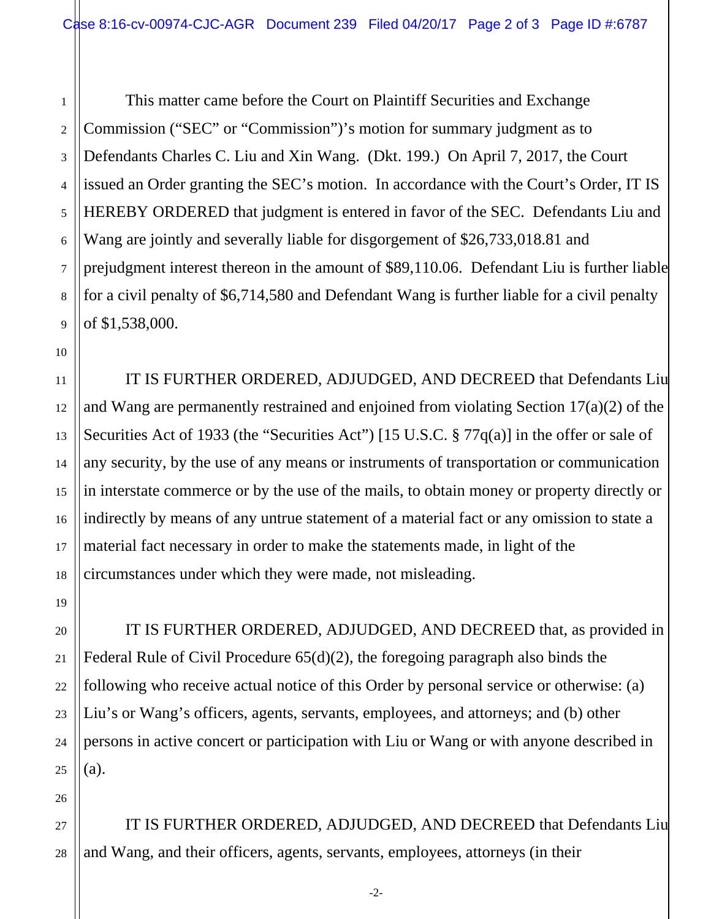1 2 3 This matter came before the Court on Plaintiff Securities and Exchange Commission ("SEC" or "Commission")'s motion for summary judgment as to Defendants Charles C. Liu and Xin Wang. (Dkt. 199.) On April 7, 2017, the Court issued an Order granting the SEC's motion. In accordance with the Court's Order, IT IS HEREBY ORDERED that judgment is entered in favor of the SEC. Defendants Liu and Wang are jointly and severally liable for disgorgement of \$26,733,018.81 and prejudgment interest thereon in the amount of \$89,110.06. Defendant Liu is further liable for a civil penalty of \$6,714,580 and Defendant Wang is further liable for a civil penalty of \$1,538,000.

IT IS FURTHER ORDERED, ADJUDGED, AND DECREED that Defendants Liu and Wang are permanently restrained and enjoined from violating Section 17(a)(2) of the Securities Act of 1933 (the "Securities Act") [15 U.S.C. § 77q(a)] in the offer or sale of any security, by the use of any means or instruments of transportation or communication in interstate commerce or by the use of the mails, to obtain money or property directly or indirectly by means of any untrue statement of a material fact or any omission to state a material fact necessary in order to make the statements made, in light of the circumstances under which they were made, not misleading.

IT IS FURTHER ORDERED, ADJUDGED, AND DECREED that, as provided in Federal Rule of Civil Procedure 65(d)(2), the foregoing paragraph also binds the following who receive actual notice of this Order by personal service or otherwise: (a) Liu's or Wang's officers, agents, servants, employees, and attorneys; and (b) other persons in active concert or participation with Liu or Wang or with anyone described in (a).

IT IS FURTHER ORDERED, ADJUDGED, AND DECREED that Defendants Liu and Wang, and their officers, agents, servants, employees, attorneys (in their

-2-